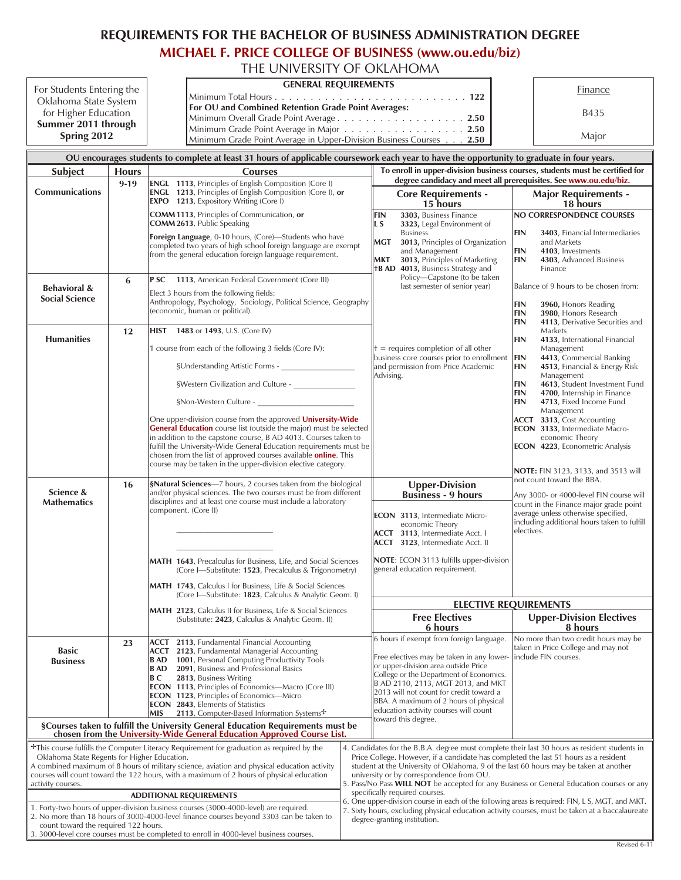## **REQUIREMENTS FOR THE BACHELOR OF BUSINESS ADMINISTRATION DEGREE**

## **[MICHAEL F. PRICE COLLEGE OF BUSINESS \(www.ou.edu/biz\)](http://price.ou.edu/ugrad/)**

THE UNIVERSITY OF OKLAHOMA For Students Entering the Oklahoma State System for Higher Education **Sum mer 2011 through Spring 2012 GEN ERAL RE QUIRE MENTS** Finance Min i mum To tal Hours ........................... **122** B435 Major For OU and Combined Retention Grade Point Averages: Min i mum Over all Grade Point Av er age .................. **2.50** Minimum Grade Point Average in Major . . . . . . . . . . . . . . . . . . **2.50**<br>Minimum Grade Point Average in Upper-Division Business Courses . . . **2.50** Minimum Grade Point Average in Upper-Division Business Courses . . OU encourages students to complete at least 31 hours of applicable coursework each year to have the opportunity to graduate in four years. **Sub ject Hours Courses To enroll in upper-division business courses, students must be certified for degree candidacy and meet all prerequisites. See [www.ou.edu/biz](http://price.ou.edu/ugrad/). Com mu ni ca tions 9-19 ENGL 1113**, Principles of English Composition (Core I) **ENGL 1213**, Principles of English Composition (Core I), or **EXPO 1213**, Expository Writing (Core I) **COMM 1113**, Principles of Communication, or **COMM 2613**, Public Speaking **Foreign Language**, 0-10 hours, (Core)-Students who have completed two years of high school foreign language are exempt from the general education foreign language requirement. **Core Requirements -15 hours Major Requirements -18 hours FIN 3303, Business Finance**<br>**1.5. 3323**, Legal Environmer 3323, Legal Environment of **Business MGT 3013, Principles of Organization** and Management **MKT 3013, Principles of Marketing**<br>**†B AD 4013, Business Strategy and 4013, Business Strategy and** Policy-Capstone (to be taken last semester of senior year)  $\dagger$  = requires completion of all other business core courses prior to enrollment and permission from Price Academic Advising. **NO CORRESPONDENCE COURSES FIN 3403** Financial Intermediaries and Markets **FIN 4103**, Investments **FIN 4303**, Advanced Business Finance Balance of 9 hours to be chosen from: **FIN 3960, Honors Reading**<br>**FIN 3980**. Honors Research **FIN 3980**, Honors Research<br>**FIN 4113**, Derivative Securit 4113, Derivative Securities and **Markets FIN 4133** International Financial **Management FIN 4413**, Commercial Banking<br>**FIN 4513**, Financial & Energy Ris **4513**, Financial & Energy Risk **Management FIN 4613**, Student Investment Fund<br>**FIN 4700**, Internship in Finance **FIN 4700**, Internship in Finance<br>**FIN 4713**, Fixed Income Fund **4713**, Fixed Income Fund **Management ACCT 3313**, Cost Accounting **ECON** 3133, Intermediate Macroeconomic Theory **ECON** 4223, Econometric Analysis **NOTE:** FIN 3123, 3133, and 3513 will not count toward the BBA Any 3000- or 4000-level FIN course will count in the Finance major grade point average unless otherwise specified, including additional hours taken to fulfill elec tives. **Behavioral & Social Science 6 P SC 1113**, American Federal Government (Core III) Elect 3 hours from the following fields: Anthropology, Psychology, Sociology, Political Science, Geography (economic, human or political). **Humanities 12 HIST 1483** or **1493**, U.S. (Core IV) 1 course from each of the following 3 fields (Core IV): §Understanding Artistic Forms -§Western Civilization and Culture -§Non-Western Culture -One upper-division course from the approved **[University-Wide](http://www.ou.edu/enrollment/home/classes_offered/general_education.html) [General Education](http://www.ou.edu/enrollment/home/classes_offered/general_education.html)** course list (outside the major) must be selected in addition to the capstone course, B AD  $4013$ . Courses taken to ful fill the University-Wide General Education requirements must be chosen from the list of approved courses available **[online](http://www.ou.edu/enrollment/home/classes_offered/general_education.html)**. This course may be taken in the upper-division elective category. **Sci ence & Mathematics 16 §Natural Sciences**—7 hours, 2 courses taken from the biological and/or physical sciences. The two courses must be from different disciplines and at least one course must include a laboratory component. (Core II)  $\overline{\phantom{a}}$  , where  $\overline{\phantom{a}}$  , where  $\overline{\phantom{a}}$  $\overline{\phantom{a}}$  , where  $\overline{\phantom{a}}$  , where  $\overline{\phantom{a}}$ MATH 1643, Precalculus for Business, Life, and Social Sciences (Core I-Substitute: 1523, Precalculus & Trigonometry) MATH 1743, Calculus I for Business, Life & Social Sciences (Core I-Substitute: 1823, Calculus & Analytic Geom. I) **MATH** 2123, Calculus II for Business, Life & Social Sciences (Substitute: 2423, Calculus & Analytic Geom. II) **Up per-Di vi sion Busi ness - 9 hours ECON** 3113, Intermediate Microeconomic Theory **ACCT 3113**, Intermediate Acct. I **ACCT 3123**, Intermediate Acct. II **NOTE:** ECON 3113 fulfills upper-division general education requirement. **ELECTIVE REQUIREMENTS Free Electives 6 hours Upper-Division Electives 8 hours** 6 hours if exempt from foreign language. Free electives may be taken in any loweror upper-division area outside Price College or the Department of Economics. B AD 2110, 2113, MGT 2013, and MKT 2013 will not count for credit toward a BBA. A maximum of 2 hours of physical education activity courses will count toward this degree. No more than two credit hours may be taken in Price College and may not include FIN courses. **Ba sic Business 23 ACCT 2113**, Fundamental Financial Accounting **ACCT** 2123, Fundamental Managerial Accounting **B AD 1001**, Personal Computing Productivity Tools<br>**B AD 2091**, Business and Professional Basics 2091, Business and Professional Basics **B C** 2813, Business Writing **ECON 1113**, Principles of Economics—Macro (Core III) **ECON 1123**, Principles of Economics—Micro **ECON** 2843, Elements of Statistics<br>**MIS** 2113, Computer-Based Info 2113, Computer-Based Information Systems<sup>+</sup> **§Courses taken to ful fill the Uni ver sity Gen eral Educa tion Re quire ments must be cho sen from the [University-Wide General Education Approved Course List](http://www.ou.edu/enrollment/home/classes_offered/general_education.html).** <sup>+</sup>This course fulfills the Computer Literacy Requirement for graduation as required by the Oklahoma State Regents for Higher Education. A combined maximum of 8 hours of military science, aviation and physical education activity courses will count toward the 122 hours, with a maximum of 2 hours of physical education activity courses. 4. Candidates for the B.B.A. degree must complete their last 30 hours as resident students in Price College. However, if a candidate has completed the last 51 hours as a resident student at the University of Oklahoma, 9 of the last 60 hours may be taken at another university or by correspondence from OU. Pass/No Pass **WILL NOT** be accepted for any Business or General Education courses or any specifically required courses. 6. One upper-division course in each of the following areas is required: FIN, L S, MGT, and MKT. 7. Sixty hours, excluding physical education activity courses, must be taken at a baccalaureate degree-granting institution. **AD DI TIONAL REQUIREMENTS** 1. Forty-two hours of upper-division business courses (3000-4000-level) are required. 2. No more than 18 hours of 3000-4000-level finance courses beyond 3303 can be taken to count toward the required 122 hours. 3. 3000-level core courses must be completed to enroll in 4000-level business courses.